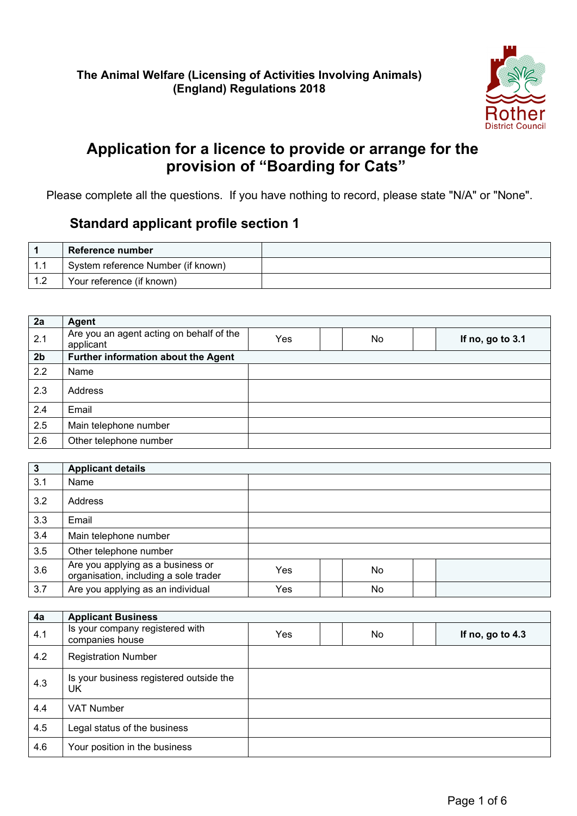

# **Application for a licence to provide or arrange for the provision of "Boarding for Cats"**

Please complete all the questions. If you have nothing to record, please state "N/A" or "None".

### **Standard applicant profile section 1**

|      | Reference number                   |  |
|------|------------------------------------|--|
|      | System reference Number (if known) |  |
| - 10 | Your reference (if known)          |  |

| 2a             | Agent                                                 |     |     |                  |
|----------------|-------------------------------------------------------|-----|-----|------------------|
| 2.1            | Are you an agent acting on behalf of the<br>applicant | Yes | No. | If no, go to 3.1 |
| 2 <sub>b</sub> | Further information about the Agent                   |     |     |                  |
| 2.2            | Name                                                  |     |     |                  |
| 2.3            | Address                                               |     |     |                  |
| 2.4            | Email                                                 |     |     |                  |
| 2.5            | Main telephone number                                 |     |     |                  |
| 2.6            | Other telephone number                                |     |     |                  |

| $\overline{\mathbf{3}}$ | <b>Applicant details</b>                                                   |     |     |  |
|-------------------------|----------------------------------------------------------------------------|-----|-----|--|
| 3.1                     | Name                                                                       |     |     |  |
| 3.2                     | Address                                                                    |     |     |  |
| 3.3                     | Email                                                                      |     |     |  |
| 3.4                     | Main telephone number                                                      |     |     |  |
| 3.5                     | Other telephone number                                                     |     |     |  |
| 3.6                     | Are you applying as a business or<br>organisation, including a sole trader | Yes | No. |  |
| 3.7                     | Are you applying as an individual                                          | Yes | No  |  |

| 4a  | <b>Applicant Business</b>                          |     |    |                  |
|-----|----------------------------------------------------|-----|----|------------------|
| 4.1 | Is your company registered with<br>companies house | Yes | No | If no, go to 4.3 |
| 4.2 | <b>Registration Number</b>                         |     |    |                  |
| 4.3 | Is your business registered outside the<br>UK      |     |    |                  |
| 4.4 | <b>VAT Number</b>                                  |     |    |                  |
| 4.5 | Legal status of the business                       |     |    |                  |
| 4.6 | Your position in the business                      |     |    |                  |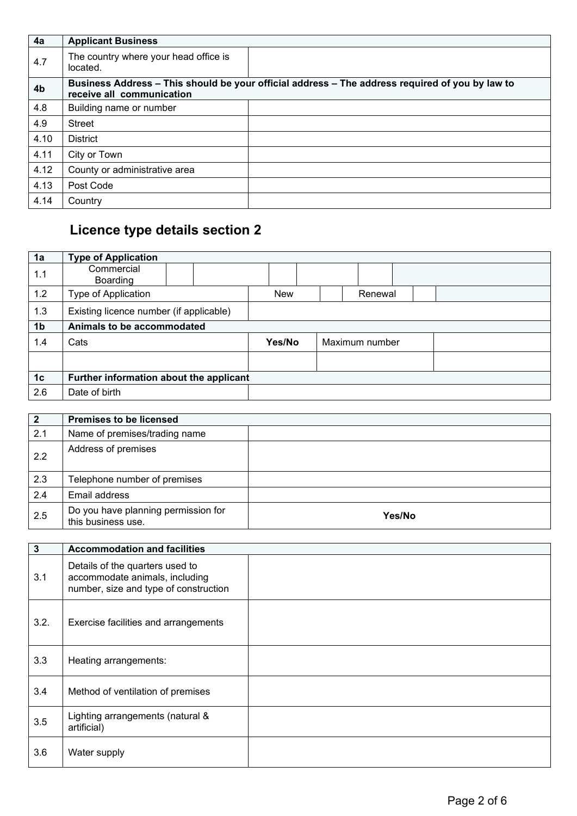| 4a             | <b>Applicant Business</b>                         |                                                                                                 |
|----------------|---------------------------------------------------|-------------------------------------------------------------------------------------------------|
| 4.7            | The country where your head office is<br>located. |                                                                                                 |
| 4 <sub>b</sub> | receive all communication                         | Business Address - This should be your official address - The address required of you by law to |
| 4.8            | Building name or number                           |                                                                                                 |
| 4.9            | <b>Street</b>                                     |                                                                                                 |
| 4.10           | <b>District</b>                                   |                                                                                                 |
| 4.11           | City or Town                                      |                                                                                                 |
| 4.12           | County or administrative area                     |                                                                                                 |
| 4.13           | Post Code                                         |                                                                                                 |
| 4.14           | Country                                           |                                                                                                 |

# **Licence type details section 2**

| 1a             | <b>Type of Application</b>              |            |                |  |
|----------------|-----------------------------------------|------------|----------------|--|
| 1.1            | Commercial<br>Boarding                  |            |                |  |
| 1.2            | Type of Application                     | <b>New</b> | Renewal        |  |
| 1.3            | Existing licence number (if applicable) |            |                |  |
| 1 <sub>b</sub> | Animals to be accommodated              |            |                |  |
| 1.4            | Cats                                    | Yes/No     | Maximum number |  |
|                |                                         |            |                |  |
| 1 <sub>c</sub> | Further information about the applicant |            |                |  |
| 2.6            | Date of birth                           |            |                |  |

| $\overline{2}$ | <b>Premises to be licensed</b>                            |        |
|----------------|-----------------------------------------------------------|--------|
| 2.1            | Name of premises/trading name                             |        |
| 2.2            | Address of premises                                       |        |
| 2.3            | Telephone number of premises                              |        |
| 2.4            | Email address                                             |        |
| 2.5            | Do you have planning permission for<br>this business use. | Yes/No |

| $\mathbf{3}$ | <b>Accommodation and facilities</b>                                                                        |  |
|--------------|------------------------------------------------------------------------------------------------------------|--|
| 3.1          | Details of the quarters used to<br>accommodate animals, including<br>number, size and type of construction |  |
| 3.2.         | Exercise facilities and arrangements                                                                       |  |
| 3.3          | Heating arrangements:                                                                                      |  |
| 3.4          | Method of ventilation of premises                                                                          |  |
| 3.5          | Lighting arrangements (natural &<br>artificial)                                                            |  |
| 3.6          | Water supply                                                                                               |  |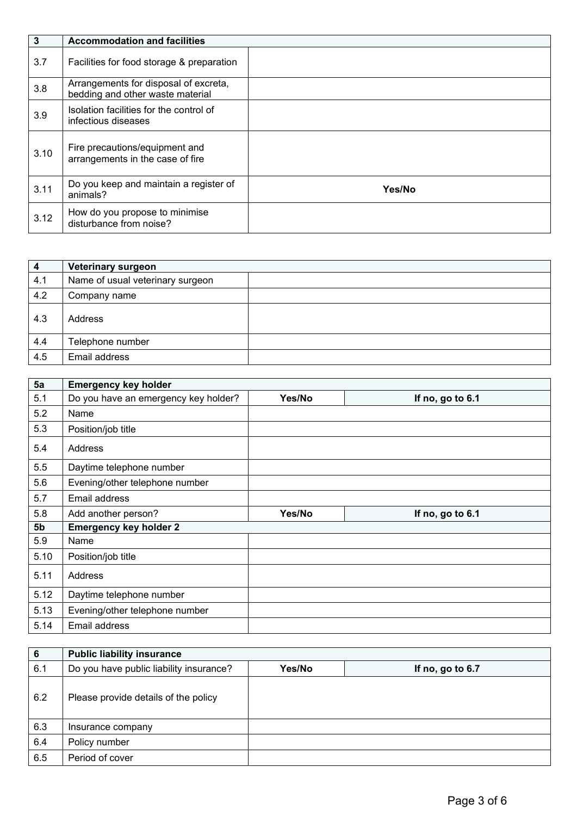| $\mathbf{3}$ | <b>Accommodation and facilities</b>                                       |        |
|--------------|---------------------------------------------------------------------------|--------|
| 3.7          | Facilities for food storage & preparation                                 |        |
| 3.8          | Arrangements for disposal of excreta,<br>bedding and other waste material |        |
| 3.9          | Isolation facilities for the control of<br>infectious diseases            |        |
| 3.10         | Fire precautions/equipment and<br>arrangements in the case of fire        |        |
| 3.11         | Do you keep and maintain a register of<br>animals?                        | Yes/No |
| 3.12         | How do you propose to minimise<br>disturbance from noise?                 |        |

| $\overline{\mathbf{4}}$ | Veterinary surgeon               |  |
|-------------------------|----------------------------------|--|
| 4.1                     | Name of usual veterinary surgeon |  |
| 4.2                     | Company name                     |  |
| 4.3                     | Address                          |  |
| 4.4                     | Telephone number                 |  |
| 4.5                     | Email address                    |  |

| 5a             | <b>Emergency key holder</b>          |        |                  |
|----------------|--------------------------------------|--------|------------------|
| 5.1            | Do you have an emergency key holder? | Yes/No | If no, go to 6.1 |
| 5.2            | Name                                 |        |                  |
| 5.3            | Position/job title                   |        |                  |
| 5.4            | Address                              |        |                  |
| 5.5            | Daytime telephone number             |        |                  |
| 5.6            | Evening/other telephone number       |        |                  |
| 5.7            | Email address                        |        |                  |
| 5.8            | Add another person?                  | Yes/No | If no, go to 6.1 |
|                |                                      |        |                  |
| 5 <sub>b</sub> | <b>Emergency key holder 2</b>        |        |                  |
| 5.9            | Name                                 |        |                  |
| 5.10           | Position/job title                   |        |                  |
| 5.11           | Address                              |        |                  |
| 5.12           | Daytime telephone number             |        |                  |
| 5.13           | Evening/other telephone number       |        |                  |

| 6   | <b>Public liability insurance</b>       |        |                  |
|-----|-----------------------------------------|--------|------------------|
| 6.1 | Do you have public liability insurance? | Yes/No | If no, go to 6.7 |
| 6.2 | Please provide details of the policy    |        |                  |
| 6.3 | Insurance company                       |        |                  |
| 6.4 | Policy number                           |        |                  |
| 6.5 | Period of cover                         |        |                  |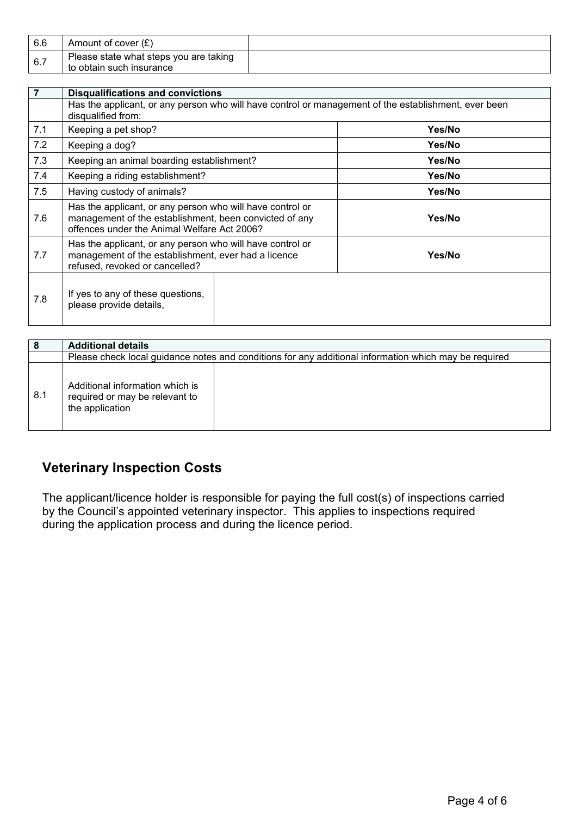| 6.6 | Amount of cover $(E)$                  |  |
|-----|----------------------------------------|--|
| 6.7 | Please state what steps you are taking |  |
|     | to obtain such insurance               |  |

| $\overline{7}$ | <b>Disqualifications and convictions</b>                                                                                                                           |  |        |
|----------------|--------------------------------------------------------------------------------------------------------------------------------------------------------------------|--|--------|
|                | Has the applicant, or any person who will have control or management of the establishment, ever been<br>disqualified from:                                         |  |        |
| 7.1            | Keeping a pet shop?                                                                                                                                                |  | Yes/No |
| 7.2            | Keeping a dog?                                                                                                                                                     |  | Yes/No |
| 7.3            | Keeping an animal boarding establishment?                                                                                                                          |  | Yes/No |
| 7.4            | Keeping a riding establishment?                                                                                                                                    |  | Yes/No |
| 7.5            | Having custody of animals?                                                                                                                                         |  | Yes/No |
| 7.6            | Has the applicant, or any person who will have control or<br>management of the establishment, been convicted of any<br>offences under the Animal Welfare Act 2006? |  | Yes/No |
| 7.7            | Has the applicant, or any person who will have control or<br>management of the establishment, ever had a licence<br>refused, revoked or cancelled?                 |  | Yes/No |
| 7.8            | If yes to any of these questions,<br>please provide details,                                                                                                       |  |        |

|     | <b>Additional details</b>                                                                             |  |
|-----|-------------------------------------------------------------------------------------------------------|--|
|     | Please check local guidance notes and conditions for any additional information which may be required |  |
| 8.1 | Additional information which is<br>required or may be relevant to<br>the application                  |  |

# **Veterinary Inspection Costs**

The applicant/licence holder is responsible for paying the full cost(s) of inspections carried by the Council's appointed veterinary inspector. This applies to inspections required during the application process and during the licence period.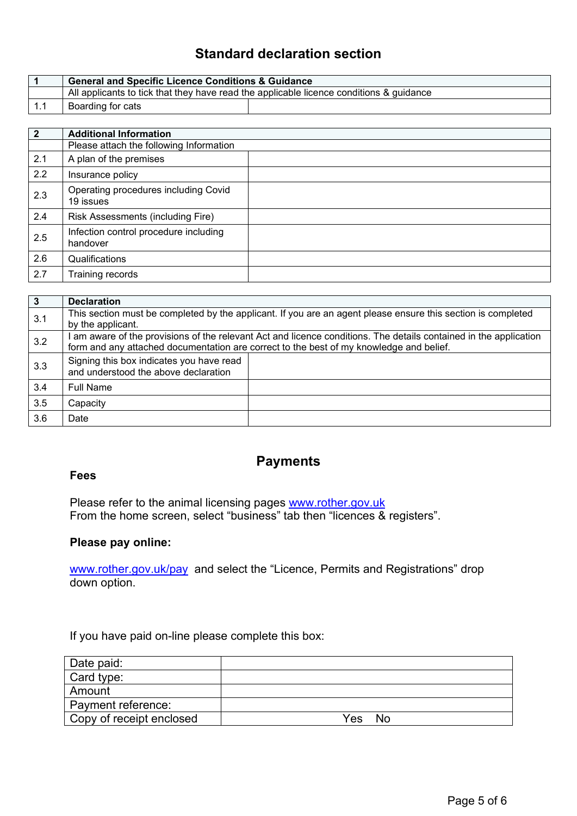## **Standard declaration section**

| <b>General and Specific Licence Conditions &amp; Guidance</b>                           |  |
|-----------------------------------------------------------------------------------------|--|
| All applicants to tick that they have read the applicable licence conditions & guidance |  |
| Boarding for cats                                                                       |  |

| $\overline{2}$ | <b>Additional Information</b>                     |  |
|----------------|---------------------------------------------------|--|
|                | Please attach the following Information           |  |
| 2.1            | A plan of the premises                            |  |
| 2.2            | Insurance policy                                  |  |
| 2.3            | Operating procedures including Covid<br>19 issues |  |
| 2.4            | Risk Assessments (including Fire)                 |  |
| 2.5            | Infection control procedure including<br>handover |  |
| 2.6            | Qualifications                                    |  |
| 2.7            | Training records                                  |  |

| $\overline{3}$ | <b>Declaration</b>                                                               |                                                                                                                                                                                                              |
|----------------|----------------------------------------------------------------------------------|--------------------------------------------------------------------------------------------------------------------------------------------------------------------------------------------------------------|
| 3.1            | by the applicant.                                                                | This section must be completed by the applicant. If you are an agent please ensure this section is completed                                                                                                 |
| 3.2            |                                                                                  | I am aware of the provisions of the relevant Act and licence conditions. The details contained in the application<br>form and any attached documentation are correct to the best of my knowledge and belief. |
| 3.3            | Signing this box indicates you have read<br>and understood the above declaration |                                                                                                                                                                                                              |
| 3.4            | <b>Full Name</b>                                                                 |                                                                                                                                                                                                              |
| 3.5            | Capacity                                                                         |                                                                                                                                                                                                              |
| 3.6            | Date                                                                             |                                                                                                                                                                                                              |

#### **Fees**

#### **Payments**

Please refer to the animal licensing pages [www.rother.gov.uk](http://www.rother.gov.uk/) From the home screen, select "business" tab then "licences & registers".

#### **Please pay online:**

[www.rother.gov.uk/pay](http://www.rother.gov.uk/pay) and select the "Licence, Permits and Registrations" drop down option.

If you have paid on-line please complete this box:

| Date paid:               |             |
|--------------------------|-------------|
| Card type:               |             |
| Amount                   |             |
| Payment reference:       |             |
| Copy of receipt enclosed | No.<br>Yes. |